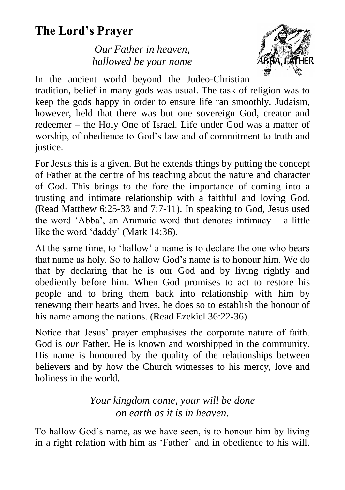# **The Lord's Prayer**

*Our Father in heaven, hallowed be your name*



In the ancient world beyond the Judeo-Christian

tradition, belief in many gods was usual. The task of religion was to keep the gods happy in order to ensure life ran smoothly. Judaism, however, held that there was but one sovereign God, creator and redeemer – the Holy One of Israel. Life under God was a matter of worship, of obedience to God's law and of commitment to truth and justice.

For Jesus this is a given. But he extends things by putting the concept of Father at the centre of his teaching about the nature and character of God. This brings to the fore the importance of coming into a trusting and intimate relationship with a faithful and loving God. (Read Matthew 6:25-33 and 7:7-11). In speaking to God, Jesus used the word 'Abba', an Aramaic word that denotes intimacy – a little like the word 'daddy' (Mark 14:36).

At the same time, to 'hallow' a name is to declare the one who bears that name as holy. So to hallow God's name is to honour him. We do that by declaring that he is our God and by living rightly and obediently before him. When God promises to act to restore his people and to bring them back into relationship with him by renewing their hearts and lives, he does so to establish the honour of his name among the nations. (Read Ezekiel 36:22-36).

Notice that Jesus' prayer emphasises the corporate nature of faith. God is *our* Father. He is known and worshipped in the community. His name is honoured by the quality of the relationships between believers and by how the Church witnesses to his mercy, love and holiness in the world.

#### *Your kingdom come, your will be done on earth as it is in heaven.*

To hallow God's name, as we have seen, is to honour him by living in a right relation with him as 'Father' and in obedience to his will.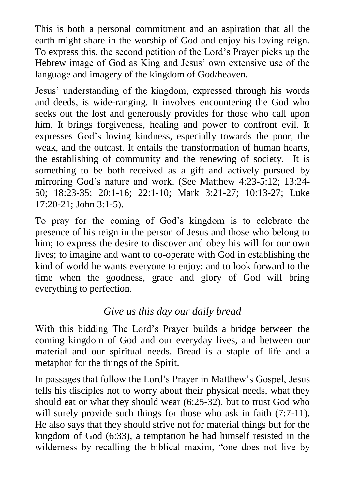This is both a personal commitment and an aspiration that all the earth might share in the worship of God and enjoy his loving reign. To express this, the second petition of the Lord's Prayer picks up the Hebrew image of God as King and Jesus' own extensive use of the language and imagery of the kingdom of God/heaven.

Jesus' understanding of the kingdom, expressed through his words and deeds, is wide-ranging. It involves encountering the God who seeks out the lost and generously provides for those who call upon him. It brings forgiveness, healing and power to confront evil. It expresses God's loving kindness, especially towards the poor, the weak, and the outcast. It entails the transformation of human hearts, the establishing of community and the renewing of society. It is something to be both received as a gift and actively pursued by mirroring God's nature and work. (See Matthew 4:23-5:12; 13:24- 50; 18:23-35; 20:1-16; 22:1-10; Mark 3:21-27; 10:13-27; Luke 17:20-21; John 3:1-5).

To pray for the coming of God's kingdom is to celebrate the presence of his reign in the person of Jesus and those who belong to him; to express the desire to discover and obey his will for our own lives; to imagine and want to co-operate with God in establishing the kind of world he wants everyone to enjoy; and to look forward to the time when the goodness, grace and glory of God will bring everything to perfection.

## *Give us this day our daily bread*

With this bidding The Lord's Prayer builds a bridge between the coming kingdom of God and our everyday lives, and between our material and our spiritual needs. Bread is a staple of life and a metaphor for the things of the Spirit.

In passages that follow the Lord's Prayer in Matthew's Gospel, Jesus tells his disciples not to worry about their physical needs, what they should eat or what they should wear (6:25-32), but to trust God who will surely provide such things for those who ask in faith (7:7-11). He also says that they should strive not for material things but for the kingdom of God (6:33), a temptation he had himself resisted in the wilderness by recalling the biblical maxim, "one does not live by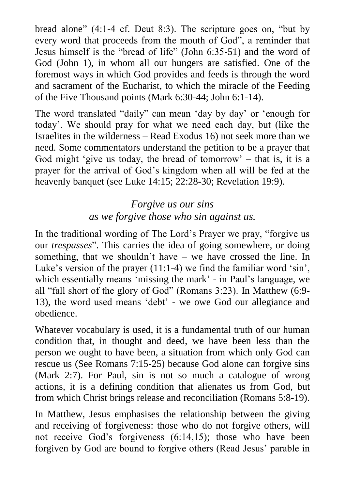bread alone" (4:1-4 cf. Deut 8:3). The scripture goes on, "but by every word that proceeds from the mouth of God", a reminder that Jesus himself is the "bread of life" (John 6:35-51) and the word of God (John 1), in whom all our hungers are satisfied. One of the foremost ways in which God provides and feeds is through the word and sacrament of the Eucharist, to which the miracle of the Feeding of the Five Thousand points (Mark 6:30-44; John 6:1-14).

The word translated "daily" can mean 'day by day' or 'enough for today'. We should pray for what we need each day, but (like the Israelites in the wilderness – Read Exodus 16) not seek more than we need. Some commentators understand the petition to be a prayer that God might 'give us today, the bread of tomorrow'  $-$  that is, it is a prayer for the arrival of God's kingdom when all will be fed at the heavenly banquet (see Luke 14:15; 22:28-30; Revelation 19:9).

## *Forgive us our sins as we forgive those who sin against us.*

In the traditional wording of The Lord's Prayer we pray, "forgive us our *trespasses*". This carries the idea of going somewhere, or doing something, that we shouldn't have – we have crossed the line. In Luke's version of the prayer (11:1-4) we find the familiar word 'sin', which essentially means 'missing the mark' - in Paul's language, we all "fall short of the glory of God" (Romans 3:23). In Matthew (6:9- 13), the word used means 'debt' - we owe God our allegiance and obedience.

Whatever vocabulary is used, it is a fundamental truth of our human condition that, in thought and deed, we have been less than the person we ought to have been, a situation from which only God can rescue us (See Romans 7:15-25) because God alone can forgive sins (Mark 2:7). For Paul, sin is not so much a catalogue of wrong actions, it is a defining condition that alienates us from God, but from which Christ brings release and reconciliation (Romans 5:8-19).

In Matthew, Jesus emphasises the relationship between the giving and receiving of forgiveness: those who do not forgive others, will not receive God's forgiveness (6:14,15); those who have been forgiven by God are bound to forgive others (Read Jesus' parable in